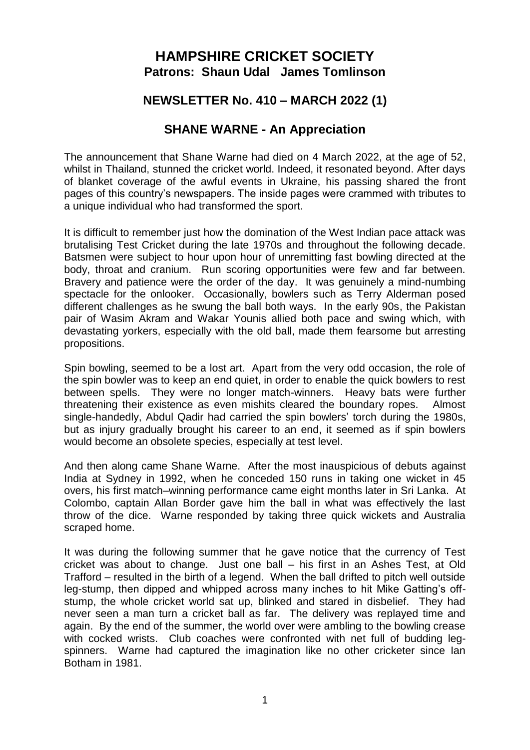## **HAMPSHIRE CRICKET SOCIETY Patrons: Shaun Udal James Tomlinson**

## **NEWSLETTER No. 410 – MARCH 2022 (1)**

## **SHANE WARNE - An Appreciation**

The announcement that Shane Warne had died on 4 March 2022, at the age of 52, whilst in Thailand, stunned the cricket world. Indeed, it resonated beyond. After days of blanket coverage of the awful events in Ukraine, his passing shared the front pages of this country's newspapers. The inside pages were crammed with tributes to a unique individual who had transformed the sport.

It is difficult to remember just how the domination of the West Indian pace attack was brutalising Test Cricket during the late 1970s and throughout the following decade. Batsmen were subject to hour upon hour of unremitting fast bowling directed at the body, throat and cranium. Run scoring opportunities were few and far between. Bravery and patience were the order of the day. It was genuinely a mind-numbing spectacle for the onlooker. Occasionally, bowlers such as Terry Alderman posed different challenges as he swung the ball both ways. In the early 90s, the Pakistan pair of Wasim Akram and Wakar Younis allied both pace and swing which, with devastating yorkers, especially with the old ball, made them fearsome but arresting propositions.

Spin bowling, seemed to be a lost art. Apart from the very odd occasion, the role of the spin bowler was to keep an end quiet, in order to enable the quick bowlers to rest between spells. They were no longer match-winners. Heavy bats were further threatening their existence as even mishits cleared the boundary ropes. Almost single-handedly, Abdul Qadir had carried the spin bowlers' torch during the 1980s, but as injury gradually brought his career to an end, it seemed as if spin bowlers would become an obsolete species, especially at test level.

And then along came Shane Warne. After the most inauspicious of debuts against India at Sydney in 1992, when he conceded 150 runs in taking one wicket in 45 overs, his first match–winning performance came eight months later in Sri Lanka. At Colombo, captain Allan Border gave him the ball in what was effectively the last throw of the dice. Warne responded by taking three quick wickets and Australia scraped home.

It was during the following summer that he gave notice that the currency of Test cricket was about to change. Just one ball – his first in an Ashes Test, at Old Trafford – resulted in the birth of a legend. When the ball drifted to pitch well outside leg-stump, then dipped and whipped across many inches to hit Mike Gatting's offstump, the whole cricket world sat up, blinked and stared in disbelief. They had never seen a man turn a cricket ball as far. The delivery was replayed time and again. By the end of the summer, the world over were ambling to the bowling crease with cocked wrists. Club coaches were confronted with net full of budding legspinners. Warne had captured the imagination like no other cricketer since Ian Botham in 1981.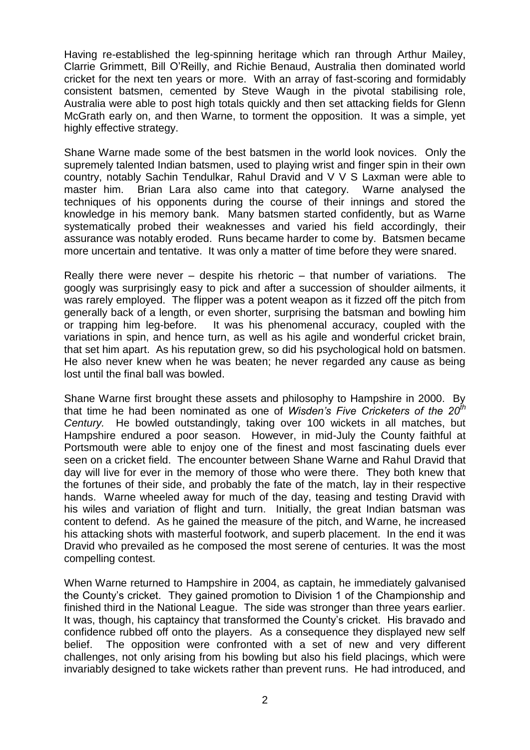Having re-established the leg-spinning heritage which ran through Arthur Mailey, Clarrie Grimmett, Bill O'Reilly, and Richie Benaud, Australia then dominated world cricket for the next ten years or more. With an array of fast-scoring and formidably consistent batsmen, cemented by Steve Waugh in the pivotal stabilising role, Australia were able to post high totals quickly and then set attacking fields for Glenn McGrath early on, and then Warne, to torment the opposition. It was a simple, yet highly effective strategy.

Shane Warne made some of the best batsmen in the world look novices. Only the supremely talented Indian batsmen, used to playing wrist and finger spin in their own country, notably Sachin Tendulkar, Rahul Dravid and V V S Laxman were able to master him. Brian Lara also came into that category. Warne analysed the techniques of his opponents during the course of their innings and stored the knowledge in his memory bank. Many batsmen started confidently, but as Warne systematically probed their weaknesses and varied his field accordingly, their assurance was notably eroded. Runs became harder to come by. Batsmen became more uncertain and tentative. It was only a matter of time before they were snared.

Really there were never  $-$  despite his rhetoric  $-$  that number of variations. The googly was surprisingly easy to pick and after a succession of shoulder ailments, it was rarely employed. The flipper was a potent weapon as it fizzed off the pitch from generally back of a length, or even shorter, surprising the batsman and bowling him or trapping him leg-before. It was his phenomenal accuracy, coupled with the variations in spin, and hence turn, as well as his agile and wonderful cricket brain, that set him apart. As his reputation grew, so did his psychological hold on batsmen. He also never knew when he was beaten; he never regarded any cause as being lost until the final ball was bowled.

Shane Warne first brought these assets and philosophy to Hampshire in 2000. By that time he had been nominated as one of *Wisden's Five Cricketers of the 20th Century.* He bowled outstandingly, taking over 100 wickets in all matches, but Hampshire endured a poor season. However, in mid-July the County faithful at Portsmouth were able to enjoy one of the finest and most fascinating duels ever seen on a cricket field. The encounter between Shane Warne and Rahul Dravid that day will live for ever in the memory of those who were there. They both knew that the fortunes of their side, and probably the fate of the match, lay in their respective hands. Warne wheeled away for much of the day, teasing and testing Dravid with his wiles and variation of flight and turn. Initially, the great Indian batsman was content to defend. As he gained the measure of the pitch, and Warne, he increased his attacking shots with masterful footwork, and superb placement. In the end it was Dravid who prevailed as he composed the most serene of centuries. It was the most compelling contest.

When Warne returned to Hampshire in 2004, as captain, he immediately galvanised the County's cricket. They gained promotion to Division 1 of the Championship and finished third in the National League. The side was stronger than three years earlier. It was, though, his captaincy that transformed the County's cricket. His bravado and confidence rubbed off onto the players. As a consequence they displayed new self belief. The opposition were confronted with a set of new and very different challenges, not only arising from his bowling but also his field placings, which were invariably designed to take wickets rather than prevent runs. He had introduced, and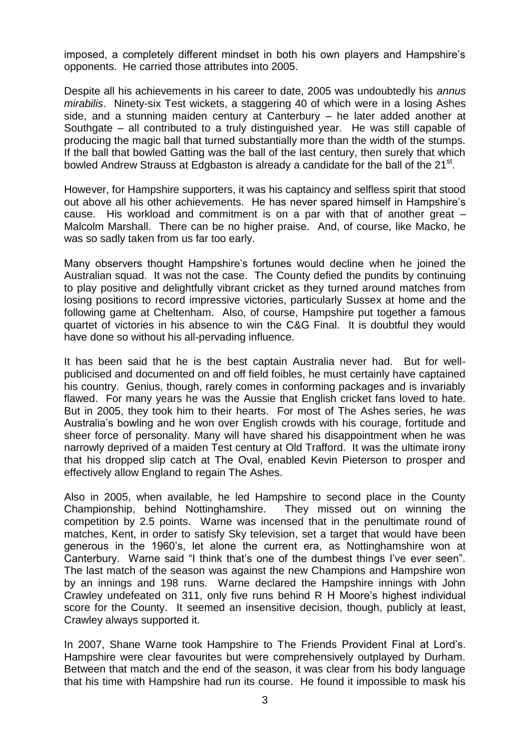imposed, a completely different mindset in both his own players and Hampshire's opponents. He carried those attributes into 2005.

Despite all his achievements in his career to date, 2005 was undoubtedly his *annus mirabilis*. Ninety-six Test wickets, a staggering 40 of which were in a losing Ashes side, and a stunning maiden century at Canterbury – he later added another at Southgate – all contributed to a truly distinguished year. He was still capable of producing the magic ball that turned substantially more than the width of the stumps. If the ball that bowled Gatting was the ball of the last century, then surely that which bowled Andrew Strauss at Edgbaston is already a candidate for the ball of the 21<sup>st</sup>.

However, for Hampshire supporters, it was his captaincy and selfless spirit that stood out above all his other achievements. He has never spared himself in Hampshire's cause. His workload and commitment is on a par with that of another great – Malcolm Marshall. There can be no higher praise. And, of course, like Macko, he was so sadly taken from us far too early.

Many observers thought Hampshire's fortunes would decline when he joined the Australian squad. It was not the case. The County defied the pundits by continuing to play positive and delightfully vibrant cricket as they turned around matches from losing positions to record impressive victories, particularly Sussex at home and the following game at Cheltenham. Also, of course, Hampshire put together a famous quartet of victories in his absence to win the C&G Final. It is doubtful they would have done so without his all-pervading influence.

It has been said that he is the best captain Australia never had. But for wellpublicised and documented on and off field foibles, he must certainly have captained his country. Genius, though, rarely comes in conforming packages and is invariably flawed. For many years he was the Aussie that English cricket fans loved to hate. But in 2005, they took him to their hearts. For most of The Ashes series, he *was*  Australia's bowling and he won over English crowds with his courage, fortitude and sheer force of personality. Many will have shared his disappointment when he was narrowly deprived of a maiden Test century at Old Trafford. It was the ultimate irony that his dropped slip catch at The Oval, enabled Kevin Pieterson to prosper and effectively allow England to regain The Ashes.

Also in 2005, when available, he led Hampshire to second place in the County Championship, behind Nottinghamshire. They missed out on winning the competition by 2.5 points. Warne was incensed that in the penultimate round of matches, Kent, in order to satisfy Sky television, set a target that would have been generous in the 1960's, let alone the current era, as Nottinghamshire won at Canterbury. Warne said "I think that's one of the dumbest things I've ever seen". The last match of the season was against the new Champions and Hampshire won by an innings and 198 runs. Warne declared the Hampshire innings with John Crawley undefeated on 311, only five runs behind R H Moore's highest individual score for the County. It seemed an insensitive decision, though, publicly at least, Crawley always supported it.

In 2007, Shane Warne took Hampshire to The Friends Provident Final at Lord's. Hampshire were clear favourites but were comprehensively outplayed by Durham. Between that match and the end of the season, it was clear from his body language that his time with Hampshire had run its course. He found it impossible to mask his